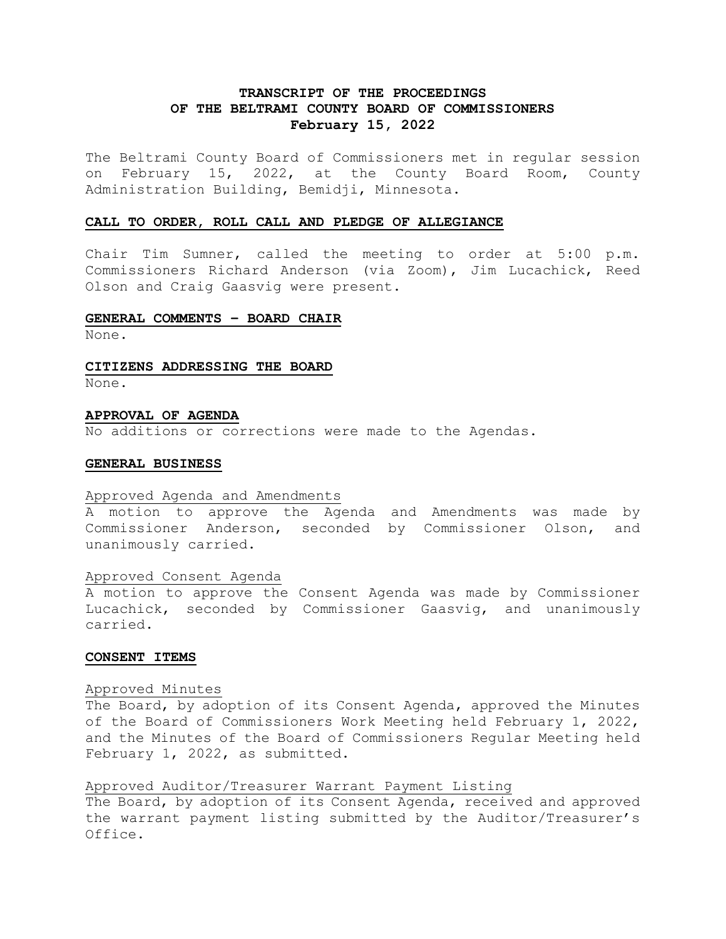# **TRANSCRIPT OF THE PROCEEDINGS OF THE BELTRAMI COUNTY BOARD OF COMMISSIONERS February 15, 2022**

The Beltrami County Board of Commissioners met in regular session on February 15, 2022, at the County Board Room, County Administration Building, Bemidji, Minnesota.

#### **CALL TO ORDER, ROLL CALL AND PLEDGE OF ALLEGIANCE**

Chair Tim Sumner, called the meeting to order at 5:00 p.m. Commissioners Richard Anderson (via Zoom), Jim Lucachick, Reed Olson and Craig Gaasvig were present.

### **GENERAL COMMENTS – BOARD CHAIR**

None.

#### **CITIZENS ADDRESSING THE BOARD**

None.

#### **APPROVAL OF AGENDA**

No additions or corrections were made to the Agendas.

#### **GENERAL BUSINESS**

#### Approved Agenda and Amendments

A motion to approve the Agenda and Amendments was made by Commissioner Anderson, seconded by Commissioner Olson, and unanimously carried.

## Approved Consent Agenda

A motion to approve the Consent Agenda was made by Commissioner Lucachick, seconded by Commissioner Gaasvig, and unanimously carried.

#### **CONSENT ITEMS**

#### Approved Minutes

The Board, by adoption of its Consent Agenda, approved the Minutes of the Board of Commissioners Work Meeting held February 1, 2022, and the Minutes of the Board of Commissioners Regular Meeting held February 1, 2022, as submitted.

### Approved Auditor/Treasurer Warrant Payment Listing

The Board, by adoption of its Consent Agenda, received and approved the warrant payment listing submitted by the Auditor/Treasurer's Office.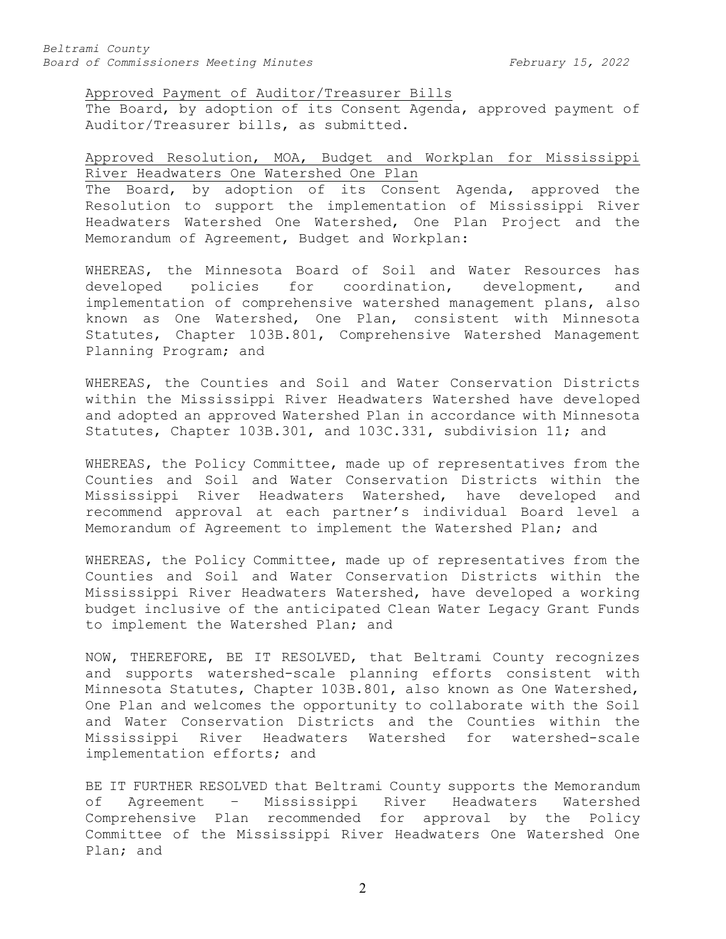Approved Payment of Auditor/Treasurer Bills

The Board, by adoption of its Consent Agenda, approved payment of Auditor/Treasurer bills, as submitted.

# Approved Resolution, MOA, Budget and Workplan for Mississippi River Headwaters One Watershed One Plan

The Board, by adoption of its Consent Agenda, approved the Resolution to support the implementation of Mississippi River Headwaters Watershed One Watershed, One Plan Project and the Memorandum of Agreement, Budget and Workplan:

WHEREAS, the Minnesota Board of Soil and Water Resources has<br>developed policies for coordination, development, and developed policies for coordination, development, implementation of comprehensive watershed management plans, also known as One Watershed, One Plan, consistent with Minnesota Statutes, Chapter 103B.801, Comprehensive Watershed Management Planning Program; and

WHEREAS, the Counties and Soil and Water Conservation Districts within the Mississippi River Headwaters Watershed have developed and adopted an approved Watershed Plan in accordance with Minnesota Statutes, Chapter 103B.301, and 103C.331, subdivision 11; and

WHEREAS, the Policy Committee, made up of representatives from the Counties and Soil and Water Conservation Districts within the Mississippi River Headwaters Watershed, have developed and recommend approval at each partner's individual Board level a Memorandum of Agreement to implement the Watershed Plan; and

WHEREAS, the Policy Committee, made up of representatives from the Counties and Soil and Water Conservation Districts within the Mississippi River Headwaters Watershed, have developed a working budget inclusive of the anticipated Clean Water Legacy Grant Funds to implement the Watershed Plan; and

NOW, THEREFORE, BE IT RESOLVED, that Beltrami County recognizes and supports watershed-scale planning efforts consistent with Minnesota Statutes, Chapter 103B.801, also known as One Watershed, One Plan and welcomes the opportunity to collaborate with the Soil and Water Conservation Districts and the Counties within the Mississippi River Headwaters Watershed for watershed-scale implementation efforts; and

BE IT FURTHER RESOLVED that Beltrami County supports the Memorandum<br>of Agreement - Mississippi River Headwaters Watershed Agreement – Mississippi River Headwaters Comprehensive Plan recommended for approval by the Policy Committee of the Mississippi River Headwaters One Watershed One Plan; and

2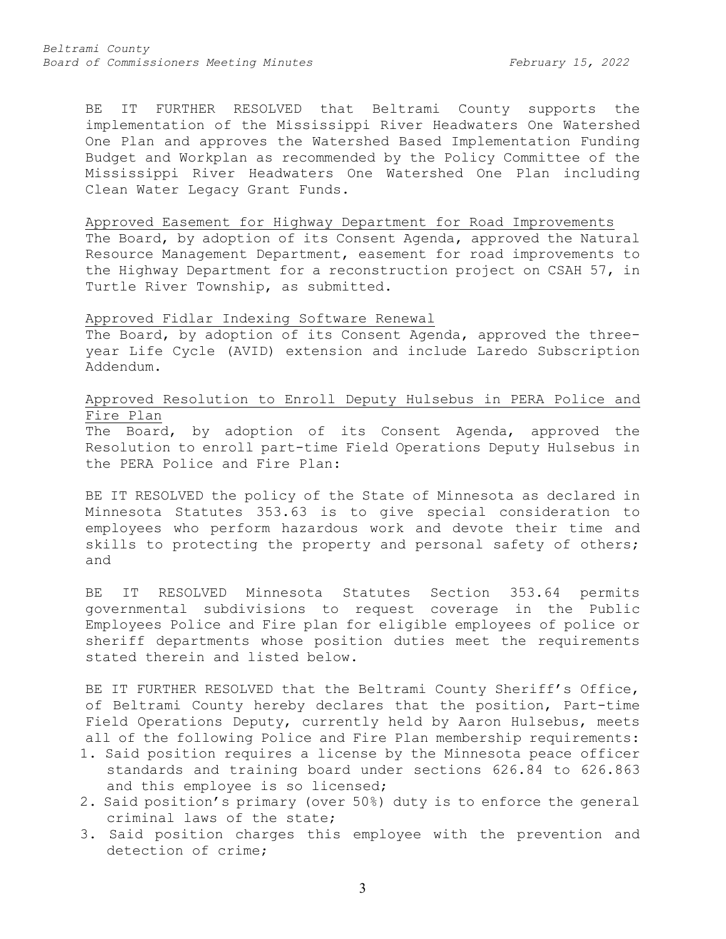BE IT FURTHER RESOLVED that Beltrami County supports the implementation of the Mississippi River Headwaters One Watershed One Plan and approves the Watershed Based Implementation Funding Budget and Workplan as recommended by the Policy Committee of the Mississippi River Headwaters One Watershed One Plan including Clean Water Legacy Grant Funds.

#### Approved Easement for Highway Department for Road Improvements

The Board, by adoption of its Consent Agenda, approved the Natural Resource Management Department, easement for road improvements to the Highway Department for a reconstruction project on CSAH 57, in Turtle River Township, as submitted.

### Approved Fidlar Indexing Software Renewal

The Board, by adoption of its Consent Agenda, approved the threeyear Life Cycle (AVID) extension and include Laredo Subscription Addendum.

# Approved Resolution to Enroll Deputy Hulsebus in PERA Police and Fire Plan

The Board, by adoption of its Consent Agenda, approved the Resolution to enroll part-time Field Operations Deputy Hulsebus in the PERA Police and Fire Plan:

BE IT RESOLVED the policy of the State of Minnesota as declared in Minnesota Statutes 353.63 is to give special consideration to employees who perform hazardous work and devote their time and skills to protecting the property and personal safety of others; and

BE IT RESOLVED Minnesota Statutes Section 353.64 permits governmental subdivisions to request coverage in the Public Employees Police and Fire plan for eligible employees of police or sheriff departments whose position duties meet the requirements stated therein and listed below.

BE IT FURTHER RESOLVED that the Beltrami County Sheriff's Office, of Beltrami County hereby declares that the position, Part-time Field Operations Deputy, currently held by Aaron Hulsebus, meets all of the following Police and Fire Plan membership requirements:

- 1. Said position requires a license by the Minnesota peace officer standards and training board under sections 626.84 to 626.863 and this employee is so licensed;
- 2. Said position's primary (over 50%) duty is to enforce the general criminal laws of the state;
- 3. Said position charges this employee with the prevention and detection of crime;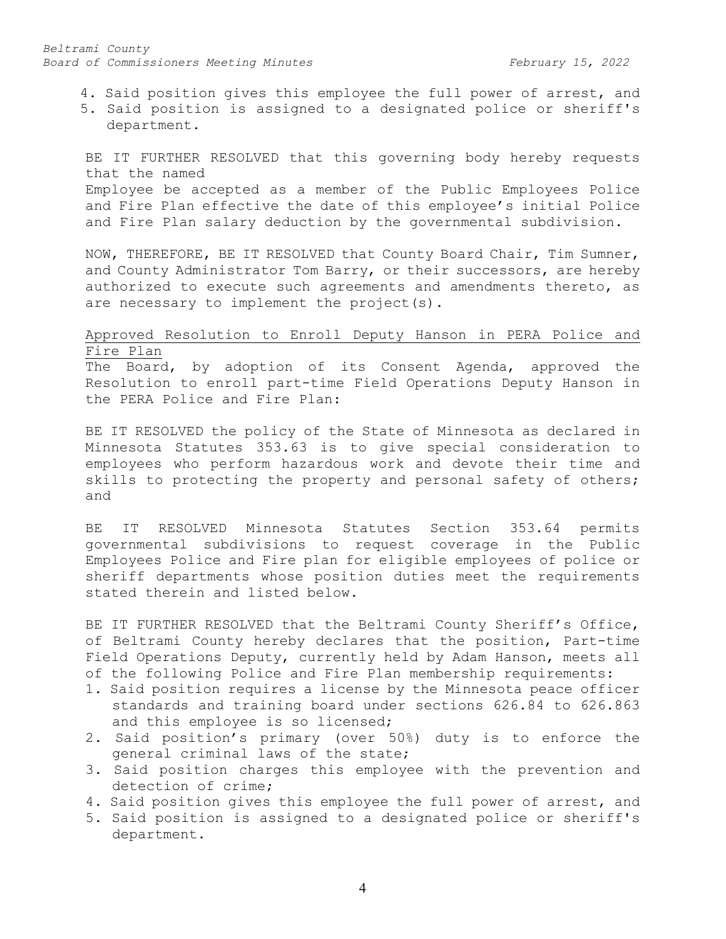*Beltrami County Board of Commissioners Meeting Minutes February 15, 2022*

4. Said position gives this employee the full power of arrest, and

5. Said position is assigned to a designated police or sheriff's department.

BE IT FURTHER RESOLVED that this governing body hereby requests that the named Employee be accepted as a member of the Public Employees Police and Fire Plan effective the date of this employee's initial Police and Fire Plan salary deduction by the governmental subdivision.

NOW, THEREFORE, BE IT RESOLVED that County Board Chair, Tim Sumner, and County Administrator Tom Barry, or their successors, are hereby authorized to execute such agreements and amendments thereto, as are necessary to implement the project(s).

## Approved Resolution to Enroll Deputy Hanson in PERA Police and Fire Plan

The Board, by adoption of its Consent Agenda, approved the Resolution to enroll part-time Field Operations Deputy Hanson in the PERA Police and Fire Plan:

BE IT RESOLVED the policy of the State of Minnesota as declared in Minnesota Statutes 353.63 is to give special consideration to employees who perform hazardous work and devote their time and skills to protecting the property and personal safety of others; and

BE IT RESOLVED Minnesota Statutes Section 353.64 permits governmental subdivisions to request coverage in the Public Employees Police and Fire plan for eligible employees of police or sheriff departments whose position duties meet the requirements stated therein and listed below.

BE IT FURTHER RESOLVED that the Beltrami County Sheriff's Office, of Beltrami County hereby declares that the position, Part-time Field Operations Deputy, currently held by Adam Hanson, meets all of the following Police and Fire Plan membership requirements:

- 1. Said position requires a license by the Minnesota peace officer standards and training board under sections 626.84 to 626.863 and this employee is so licensed;
- 2. Said position's primary (over 50%) duty is to enforce the general criminal laws of the state;
- 3. Said position charges this employee with the prevention and detection of crime;
- 4. Said position gives this employee the full power of arrest, and
- 5. Said position is assigned to a designated police or sheriff's department.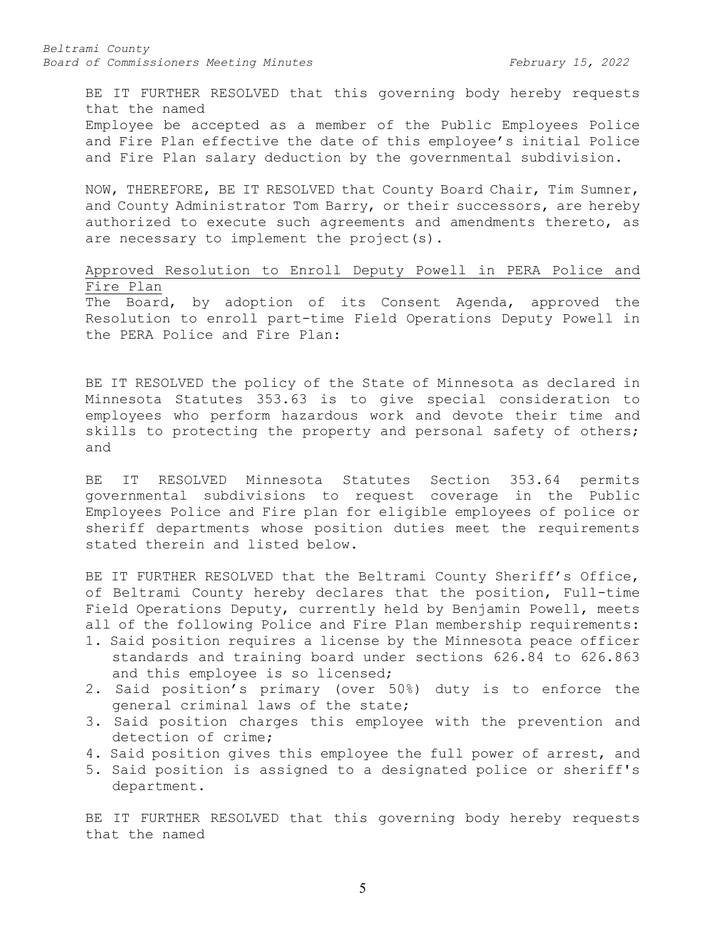BE IT FURTHER RESOLVED that this governing body hereby requests that the named Employee be accepted as a member of the Public Employees Police and Fire Plan effective the date of this employee's initial Police and Fire Plan salary deduction by the governmental subdivision.

NOW, THEREFORE, BE IT RESOLVED that County Board Chair, Tim Sumner, and County Administrator Tom Barry, or their successors, are hereby authorized to execute such agreements and amendments thereto, as are necessary to implement the project(s).

Approved Resolution to Enroll Deputy Powell in PERA Police and Fire Plan

The Board, by adoption of its Consent Agenda, approved the Resolution to enroll part-time Field Operations Deputy Powell in the PERA Police and Fire Plan:

BE IT RESOLVED the policy of the State of Minnesota as declared in Minnesota Statutes 353.63 is to give special consideration to employees who perform hazardous work and devote their time and skills to protecting the property and personal safety of others; and

BE IT RESOLVED Minnesota Statutes Section 353.64 permits governmental subdivisions to request coverage in the Public Employees Police and Fire plan for eligible employees of police or sheriff departments whose position duties meet the requirements stated therein and listed below.

BE IT FURTHER RESOLVED that the Beltrami County Sheriff's Office, of Beltrami County hereby declares that the position, Full-time Field Operations Deputy, currently held by Benjamin Powell, meets all of the following Police and Fire Plan membership requirements:

- 1. Said position requires a license by the Minnesota peace officer standards and training board under sections 626.84 to 626.863 and this employee is so licensed;
- 2. Said position's primary (over 50%) duty is to enforce the general criminal laws of the state;
- 3. Said position charges this employee with the prevention and detection of crime;
- 4. Said position gives this employee the full power of arrest, and
- 5. Said position is assigned to a designated police or sheriff's department.

BE IT FURTHER RESOLVED that this governing body hereby requests that the named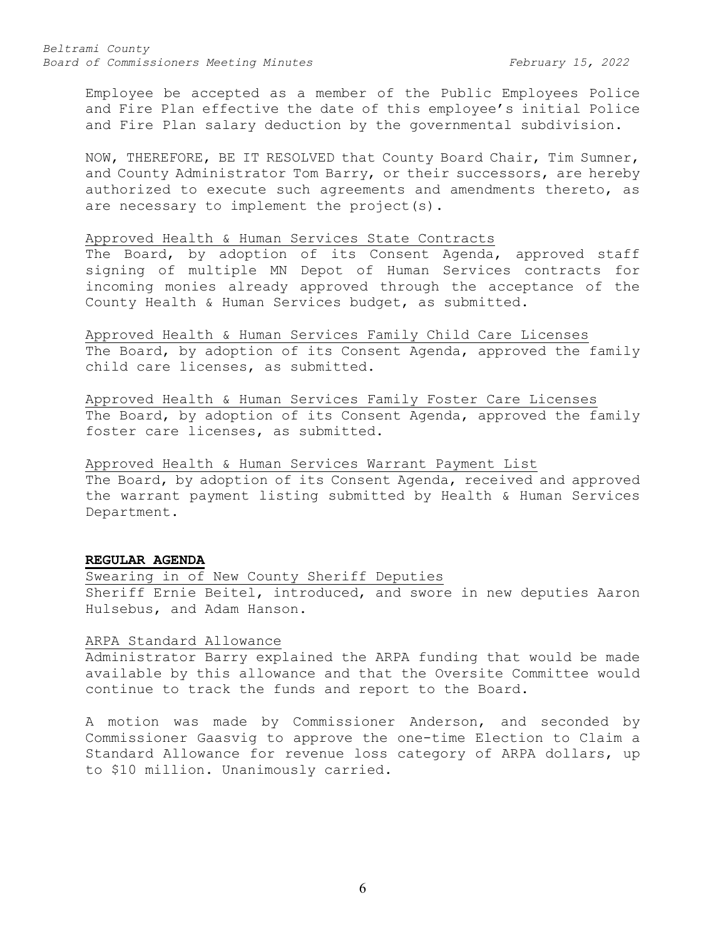*Beltrami County Board of Commissioners Meeting Minutes February 15, 2022*

Employee be accepted as a member of the Public Employees Police and Fire Plan effective the date of this employee's initial Police and Fire Plan salary deduction by the governmental subdivision.

NOW, THEREFORE, BE IT RESOLVED that County Board Chair, Tim Sumner, and County Administrator Tom Barry, or their successors, are hereby authorized to execute such agreements and amendments thereto, as are necessary to implement the project(s).

# Approved Health & Human Services State Contracts

The Board, by adoption of its Consent Agenda, approved staff signing of multiple MN Depot of Human Services contracts for incoming monies already approved through the acceptance of the County Health & Human Services budget, as submitted.

Approved Health & Human Services Family Child Care Licenses The Board, by adoption of its Consent Agenda, approved the family child care licenses, as submitted.

Approved Health & Human Services Family Foster Care Licenses The Board, by adoption of its Consent Agenda, approved the family foster care licenses, as submitted.

Approved Health & Human Services Warrant Payment List The Board, by adoption of its Consent Agenda, received and approved the warrant payment listing submitted by Health & Human Services Department.

### **REGULAR AGENDA**

Swearing in of New County Sheriff Deputies Sheriff Ernie Beitel, introduced, and swore in new deputies Aaron Hulsebus, and Adam Hanson.

#### ARPA Standard Allowance

Administrator Barry explained the ARPA funding that would be made available by this allowance and that the Oversite Committee would continue to track the funds and report to the Board.

A motion was made by Commissioner Anderson, and seconded by Commissioner Gaasvig to approve the one-time Election to Claim a Standard Allowance for revenue loss category of ARPA dollars, up to \$10 million. Unanimously carried.